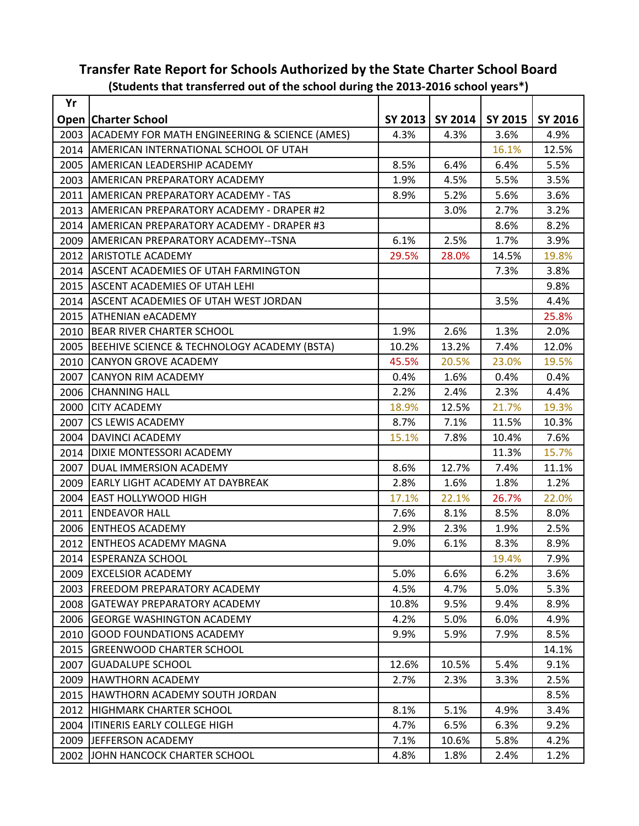|      | $3000$ and $\frac{1}{2}$ and $\frac{1}{2}$ and $\frac{1}{2}$ and $\frac{1}{2}$ and $\frac{1}{2}$ and $\frac{1}{2}$ and $\frac{1}{2}$ and $\frac{1}{2}$ |         |         |         |                |
|------|--------------------------------------------------------------------------------------------------------------------------------------------------------|---------|---------|---------|----------------|
| Yr   |                                                                                                                                                        |         |         |         |                |
|      | <b>Open Charter School</b>                                                                                                                             | SY 2013 | SY 2014 | SY 2015 | <b>SY 2016</b> |
| 2003 | ACADEMY FOR MATH ENGINEERING & SCIENCE (AMES)                                                                                                          | 4.3%    | 4.3%    | 3.6%    | 4.9%           |
| 2014 | <b>AMERICAN INTERNATIONAL SCHOOL OF UTAH</b>                                                                                                           |         |         | 16.1%   | 12.5%          |
| 2005 | AMERICAN LEADERSHIP ACADEMY                                                                                                                            | 8.5%    | 6.4%    | 6.4%    | 5.5%           |
| 2003 | <b>AMERICAN PREPARATORY ACADEMY</b>                                                                                                                    | 1.9%    | 4.5%    | 5.5%    | 3.5%           |
| 2011 | AMERICAN PREPARATORY ACADEMY - TAS                                                                                                                     | 8.9%    | 5.2%    | 5.6%    | 3.6%           |
| 2013 | AMERICAN PREPARATORY ACADEMY - DRAPER #2                                                                                                               |         | 3.0%    | 2.7%    | 3.2%           |
| 2014 | AMERICAN PREPARATORY ACADEMY - DRAPER #3                                                                                                               |         |         | 8.6%    | 8.2%           |
| 2009 | AMERICAN PREPARATORY ACADEMY--TSNA                                                                                                                     | 6.1%    | 2.5%    | 1.7%    | 3.9%           |
| 2012 | <b>ARISTOTLE ACADEMY</b>                                                                                                                               | 29.5%   | 28.0%   | 14.5%   | 19.8%          |
| 2014 | <b>ASCENT ACADEMIES OF UTAH FARMINGTON</b>                                                                                                             |         |         | 7.3%    | 3.8%           |
| 2015 | <b>ASCENT ACADEMIES OF UTAH LEHI</b>                                                                                                                   |         |         |         | 9.8%           |
| 2014 | <b>ASCENT ACADEMIES OF UTAH WEST JORDAN</b>                                                                                                            |         |         | 3.5%    | 4.4%           |
| 2015 | <b>ATHENIAN eACADEMY</b>                                                                                                                               |         |         |         | 25.8%          |
| 2010 | <b>BEAR RIVER CHARTER SCHOOL</b>                                                                                                                       | 1.9%    | 2.6%    | 1.3%    | 2.0%           |
| 2005 | BEEHIVE SCIENCE & TECHNOLOGY ACADEMY (BSTA)                                                                                                            | 10.2%   | 13.2%   | 7.4%    | 12.0%          |
| 2010 | <b>CANYON GROVE ACADEMY</b>                                                                                                                            | 45.5%   | 20.5%   | 23.0%   | 19.5%          |
| 2007 | <b>CANYON RIM ACADEMY</b>                                                                                                                              | 0.4%    | 1.6%    | 0.4%    | 0.4%           |
| 2006 | <b>CHANNING HALL</b>                                                                                                                                   | 2.2%    | 2.4%    | 2.3%    | 4.4%           |
| 2000 | <b>CITY ACADEMY</b>                                                                                                                                    | 18.9%   | 12.5%   | 21.7%   | 19.3%          |
| 2007 | <b>CS LEWIS ACADEMY</b>                                                                                                                                | 8.7%    | 7.1%    | 11.5%   | 10.3%          |
| 2004 | DAVINCI ACADEMY                                                                                                                                        | 15.1%   | 7.8%    | 10.4%   | 7.6%           |
| 2014 | DIXIE MONTESSORI ACADEMY                                                                                                                               |         |         | 11.3%   | 15.7%          |
| 2007 | DUAL IMMERSION ACADEMY                                                                                                                                 | 8.6%    | 12.7%   | 7.4%    | 11.1%          |
| 2009 | <b>EARLY LIGHT ACADEMY AT DAYBREAK</b>                                                                                                                 | 2.8%    | 1.6%    | 1.8%    | 1.2%           |
| 2004 | <b>EAST HOLLYWOOD HIGH</b>                                                                                                                             | 17.1%   | 22.1%   | 26.7%   | 22.0%          |
| 2011 | <b>ENDEAVOR HALL</b>                                                                                                                                   | 7.6%    | 8.1%    | 8.5%    | 8.0%           |
| 2006 | <b>ENTHEOS ACADEMY</b>                                                                                                                                 | 2.9%    | 2.3%    | 1.9%    | 2.5%           |
|      | 2012 ENTHEOS ACADEMY MAGNA                                                                                                                             | 9.0%    | 6.1%    | 8.3%    | 8.9%           |
|      | 2014 ESPERANZA SCHOOL                                                                                                                                  |         |         | 19.4%   | 7.9%           |
| 2009 | EXCELSIOR ACADEMY                                                                                                                                      | 5.0%    | 6.6%    | 6.2%    | 3.6%           |
| 2003 | IFREEDOM PREPARATORY ACADEMY                                                                                                                           | 4.5%    | 4.7%    | 5.0%    | 5.3%           |
| 2008 | IGATEWAY PREPARATORY ACADEMY                                                                                                                           | 10.8%   | 9.5%    | 9.4%    | 8.9%           |
| 2006 | IGEORGE WASHINGTON ACADEMY                                                                                                                             | 4.2%    | 5.0%    | 6.0%    | 4.9%           |
| 2010 | <b>GOOD FOUNDATIONS ACADEMY</b>                                                                                                                        | 9.9%    | 5.9%    | 7.9%    | 8.5%           |
| 2015 | <b>GREENWOOD CHARTER SCHOOL</b>                                                                                                                        |         |         |         | 14.1%          |
| 2007 | <b>GUADALUPE SCHOOL</b>                                                                                                                                | 12.6%   | 10.5%   | 5.4%    | 9.1%           |
| 2009 | HAWTHORN ACADEMY                                                                                                                                       | 2.7%    | 2.3%    | 3.3%    | 2.5%           |
| 2015 | HAWTHORN ACADEMY SOUTH JORDAN                                                                                                                          |         |         |         | 8.5%           |
| 2012 | HIGHMARK CHARTER SCHOOL                                                                                                                                | 8.1%    | 5.1%    | 4.9%    | 3.4%           |
| 2004 | <b>ITINERIS EARLY COLLEGE HIGH</b>                                                                                                                     | 4.7%    | 6.5%    | 6.3%    | 9.2%           |
| 2009 | JEFFERSON ACADEMY                                                                                                                                      | 7.1%    | 10.6%   | 5.8%    | 4.2%           |
| 2002 | JOHN HANCOCK CHARTER SCHOOL                                                                                                                            | 4.8%    | 1.8%    | 2.4%    | 1.2%           |

## **Transfer Rate Report for Schools Authorized by the State Charter School Board (Students that transferred out of the school during the 2013-2016 school years\*)**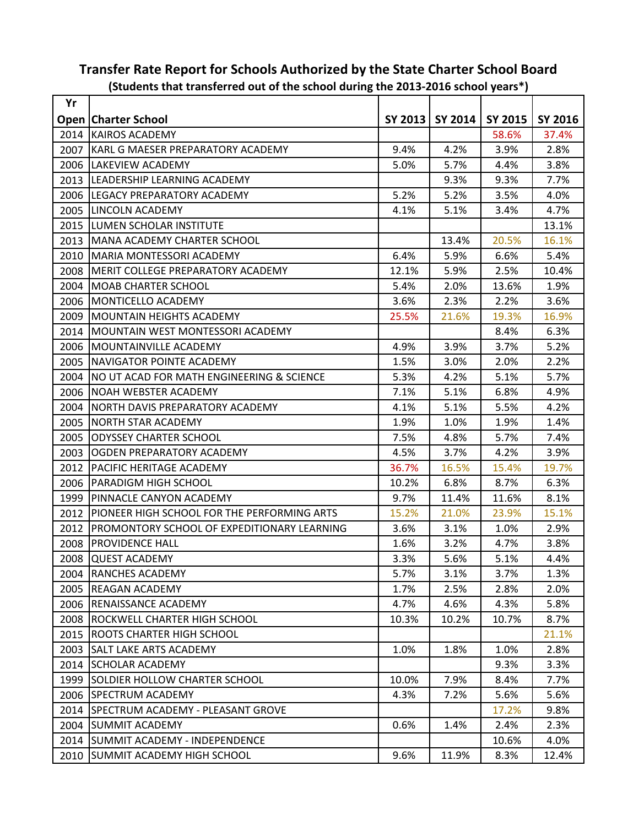| Yr   | productive that transicitied out of the school during the 2015-2010 school years f |       |                   |                |         |
|------|------------------------------------------------------------------------------------|-------|-------------------|----------------|---------|
|      | <b>Open   Charter School</b>                                                       |       | SY 2013   SY 2014 | <b>SY 2015</b> | SY 2016 |
|      | 2014 KAIROS ACADEMY                                                                |       |                   | 58.6%          | 37.4%   |
| 2007 | KARL G MAESER PREPARATORY ACADEMY                                                  | 9.4%  | 4.2%              | 3.9%           | 2.8%    |
| 2006 | LAKEVIEW ACADEMY                                                                   | 5.0%  | 5.7%              | 4.4%           | 3.8%    |
| 2013 | LEADERSHIP LEARNING ACADEMY                                                        |       | 9.3%              | 9.3%           | 7.7%    |
| 2006 | LEGACY PREPARATORY ACADEMY                                                         | 5.2%  | 5.2%              | 3.5%           | 4.0%    |
| 2005 | LINCOLN ACADEMY                                                                    | 4.1%  | 5.1%              | 3.4%           | 4.7%    |
| 2015 | LUMEN SCHOLAR INSTITUTE                                                            |       |                   |                | 13.1%   |
| 2013 | <b>MANA ACADEMY CHARTER SCHOOL</b>                                                 |       | 13.4%             | 20.5%          | 16.1%   |
| 2010 | MARIA MONTESSORI ACADEMY                                                           | 6.4%  | 5.9%              | 6.6%           | 5.4%    |
| 2008 | <b>MERIT COLLEGE PREPARATORY ACADEMY</b>                                           | 12.1% | 5.9%              | 2.5%           | 10.4%   |
| 2004 | MOAB CHARTER SCHOOL                                                                | 5.4%  | 2.0%              | 13.6%          | 1.9%    |
| 2006 | MONTICELLO ACADEMY                                                                 | 3.6%  | 2.3%              | 2.2%           | 3.6%    |
| 2009 | <b>MOUNTAIN HEIGHTS ACADEMY</b>                                                    | 25.5% | 21.6%             | 19.3%          | 16.9%   |
| 2014 | MOUNTAIN WEST MONTESSORI ACADEMY                                                   |       |                   | 8.4%           | 6.3%    |
| 2006 | <b>MOUNTAINVILLE ACADEMY</b>                                                       | 4.9%  | 3.9%              | 3.7%           | 5.2%    |
| 2005 | <b>NAVIGATOR POINTE ACADEMY</b>                                                    | 1.5%  | 3.0%              | 2.0%           | 2.2%    |
| 2004 | NO UT ACAD FOR MATH ENGINEERING & SCIENCE                                          | 5.3%  | 4.2%              | 5.1%           | 5.7%    |
| 2006 | NOAH WEBSTER ACADEMY                                                               | 7.1%  | 5.1%              | 6.8%           | 4.9%    |
| 2004 | NORTH DAVIS PREPARATORY ACADEMY                                                    | 4.1%  | 5.1%              | 5.5%           | 4.2%    |
| 2005 | NORTH STAR ACADEMY                                                                 | 1.9%  | 1.0%              | 1.9%           | 1.4%    |
| 2005 | <b>ODYSSEY CHARTER SCHOOL</b>                                                      | 7.5%  | 4.8%              | 5.7%           | 7.4%    |
| 2003 | OGDEN PREPARATORY ACADEMY                                                          | 4.5%  | 3.7%              | 4.2%           | 3.9%    |
| 2012 | <b>PACIFIC HERITAGE ACADEMY</b>                                                    | 36.7% | 16.5%             | 15.4%          | 19.7%   |
| 2006 | <b>PARADIGM HIGH SCHOOL</b>                                                        | 10.2% | 6.8%              | 8.7%           | 6.3%    |
| 1999 | PINNACLE CANYON ACADEMY                                                            | 9.7%  | 11.4%             | 11.6%          | 8.1%    |
| 2012 | PIONEER HIGH SCHOOL FOR THE PERFORMING ARTS                                        | 15.2% | 21.0%             | 23.9%          | 15.1%   |
| 2012 | <b>PROMONTORY SCHOOL OF EXPEDITIONARY LEARNING</b>                                 | 3.6%  | 3.1%              | 1.0%           | 2.9%    |
| 2008 | <b>PROVIDENCE HALL</b>                                                             | 1.6%  | 3.2%              | 4.7%           | 3.8%    |
|      | 2008 QUEST ACADEMY                                                                 | 3.3%  | 5.6%              | 5.1%           | 4.4%    |
| 2004 | <b>RANCHES ACADEMY</b>                                                             | 5.7%  | 3.1%              | 3.7%           | 1.3%    |
| 2005 | <b>REAGAN ACADEMY</b>                                                              | 1.7%  | 2.5%              | 2.8%           | 2.0%    |
|      | 2006 RENAISSANCE ACADEMY                                                           | 4.7%  | 4.6%              | 4.3%           | 5.8%    |
| 2008 | IROCKWELL CHARTER HIGH SCHOOL                                                      | 10.3% | 10.2%             | 10.7%          | 8.7%    |
| 2015 | IROOTS CHARTER HIGH SCHOOL                                                         |       |                   |                | 21.1%   |
| 2003 | <b>SALT LAKE ARTS ACADEMY</b>                                                      | 1.0%  | 1.8%              | 1.0%           | 2.8%    |
| 2014 | <b>SCHOLAR ACADEMY</b>                                                             |       |                   | 9.3%           | 3.3%    |
| 1999 | <b>SOLDIER HOLLOW CHARTER SCHOOL</b>                                               | 10.0% | 7.9%              | 8.4%           | 7.7%    |
|      | 2006 SPECTRUM ACADEMY                                                              | 4.3%  | 7.2%              | 5.6%           | 5.6%    |
| 2014 | <b>SPECTRUM ACADEMY - PLEASANT GROVE</b>                                           |       |                   | 17.2%          | 9.8%    |
| 2004 | <b>SUMMIT ACADEMY</b>                                                              | 0.6%  | 1.4%              | 2.4%           | 2.3%    |
|      | 2014   SUMMIT ACADEMY - INDEPENDENCE                                               |       |                   | 10.6%          | 4.0%    |
| 2010 | SUMMIT ACADEMY HIGH SCHOOL                                                         | 9.6%  | 11.9%             | 8.3%           | 12.4%   |

## **Transfer Rate Report for Schools Authorized by the State Charter School Board (Students that transferred out of the school during the 2013-2016 school years\*)**